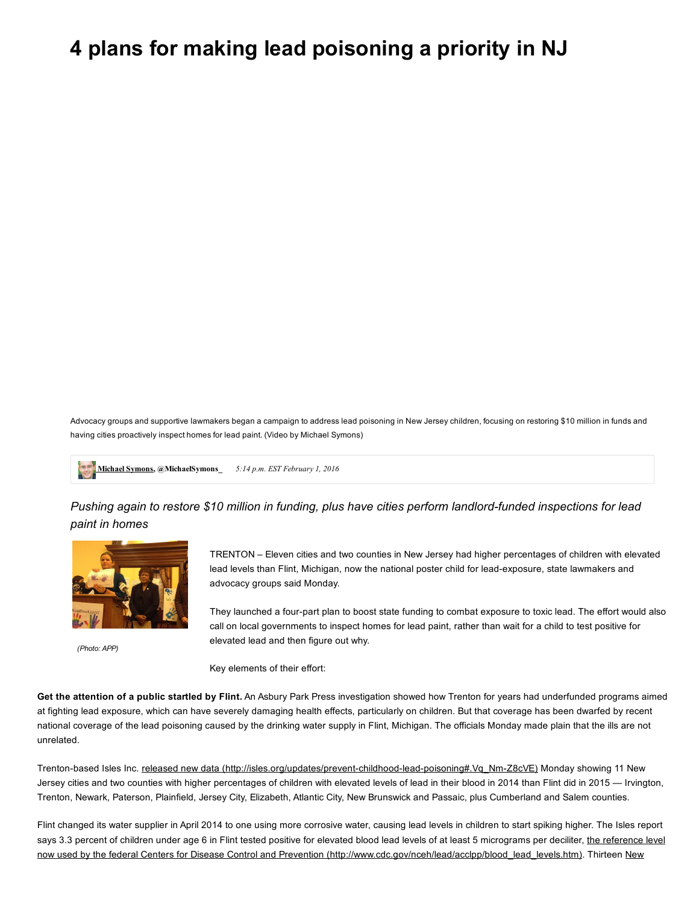## 4 plans for making lead poisoning a priority in NJ

Advocacy groups and supportive lawmakers began a campaign to address lead poisoning in New Jersey children, focusing on restoring \$10 million in funds and having cities proactively inspect homes for lead paint. (Video by Michael Symons)

[Michael](http://www.app.com/staff/11667/michael-symons/) Symons, @MichaelSymons\_5:14 p.m. EST February 1, 2016

*Pushing again to restore \$10 million in funding, plus have cities perform landlordfunded inspections for lead paint in homes*



*(Photo: APP)*

TRENTON – Eleven cities and two counties in New Jersey had higher percentages of children with elevated lead levels than Flint, Michigan, now the national poster child for lead-exposure, state lawmakers and advocacy groups said Monday.

They launched a four-part plan to boost state funding to combat exposure to toxic lead. The effort would also call on local governments to inspect homes for lead paint, rather than wait for a child to test positive for elevated lead and then figure out why.

Key elements of their effort:

Get the attention of a public startled by Flint. An Asbury Park Press investigation showed how Trenton for years had underfunded programs aimed at fighting lead exposure, which can have severely damaging health effects, particularly on children. But that coverage has been dwarfed by recent national coverage of the lead poisoning caused by the drinking water supply in Flint, Michigan. The officials Monday made plain that the ills are not unrelated.

Trenton-based Isles Inc. released new data (http://isles.org/updates/prevent-childhood-lead-poisoning#.Vq\_Nm-Z8cVE) Monday showing 11 New Jersey cities and two counties with higher percentages of children with elevated levels of lead in their blood in 2014 than Flint did in 2015 — Irvington, Trenton, Newark, Paterson, Plainfield, Jersey City, Elizabeth, Atlantic City, New Brunswick and Passaic, plus Cumberland and Salem counties.

Flint changed its water supplier in April 2014 to one using more corrosive water, causing lead levels in children to start spiking higher. The Isles report says 3.3 percent of children under age 6 in Flint tested positive for elevated blood lead levels of at least 5 micrograms per deciliter, the reference level now used by the federal Centers for Disease Control and Prevention [\(http://www.cdc.gov/nceh/lead/acclpp/blood\\_lead\\_levels.htm\).](http://www.state.nj.us/health/fhs/documents/childhoodlead2014.pdf) Thirteen New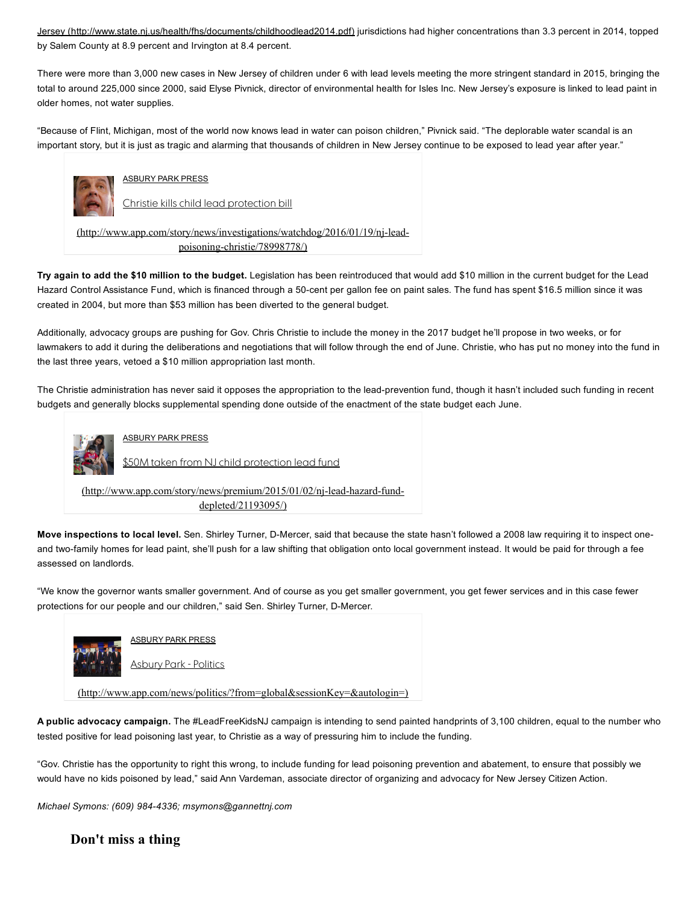Jersey [\(http://www.state.nj.us/health/fhs/documents/childhoodlead2014.pdf\)](http://www.state.nj.us/health/fhs/documents/childhoodlead2014.pdf) jurisdictions had higher concentrations than 3.3 percent in 2014, topped by Salem County at 8.9 percent and Irvington at 8.4 percent.

There were more than 3,000 new cases in New Jersey of children under 6 with lead levels meeting the more stringent standard in 2015, bringing the total to around 225,000 since 2000, said Elyse Pivnick, director of environmental health for Isles Inc. New Jersey's exposure is linked to lead paint in older homes, not water supplies.

"Because of Flint, Michigan, most of the world now knows lead in water can poison children," Pivnick said. "The deplorable water scandal is an important story, but it is just as tragic and alarming that thousands of children in New Jersey continue to be exposed to lead year after year."



ASBURY PARK PRESS

Christie kills child lead protection bill

 $(\text{http://www.app.com/story/news/investigations/watchdog/2016/01/19/ni-lead$ poisoning-christie/78998778/)

Try again to add the \$10 million to the budget. Legislation has been reintroduced that would add \$10 million in the current budget for the Lead Hazard Control Assistance Fund, which is financed through a 50-cent per gallon fee on paint sales. The fund has spent \$16.5 million since it was created in 2004, but more than \$53 million has been diverted to the general budget.

Additionally, advocacy groups are pushing for Gov. Chris Christie to include the money in the 2017 budget he'll propose in two weeks, or for lawmakers to add it during the deliberations and negotiations that will follow through the end of June. Christie, who has put no money into the fund in the last three years, vetoed a \$10 million appropriation last month.

The Christie administration has never said it opposes the appropriation to the lead-prevention fund, though it hasn't included such funding in recent budgets and generally blocks supplemental spending done outside of the enactment of the state budget each June.



ASBURY PARK PRESS

\$50M taken from NJ child protection lead fund

(http://www.app.com/story/news/premium/2015/01/02/nj-lead-hazard-funddepleted/21193095/)

Move inspections to local level. Sen. Shirley Turner, D-Mercer, said that because the state hasn't followed a 2008 law requiring it to inspect oneand two-family homes for lead paint, she'll push for a law shifting that obligation onto local government instead. It would be paid for through a fee assessed on landlords.

"We know the governor wants smaller government. And of course as you get smaller government, you get fewer services and in this case fewer protections for our people and our children," said Sen. Shirley Turner, D-Mercer.



ASBURY PARK PRESS Asbury Park - Politics

[\(http://www.app.com/news/politics/?from=global&sessionKey=&autologin=\)](http://www.app.com/news/politics/?from=global&sessionKey=&autologin=)

A public advocacy campaign. The #LeadFreeKidsNJ campaign is intending to send painted handprints of 3,100 children, equal to the number who tested positive for lead poisoning last year, to Christie as a way of pressuring him to include the funding.

"Gov. Christie has the opportunity to right this wrong, to include funding for lead poisoning prevention and abatement, to ensure that possibly we would have no kids poisoned by lead," said Ann Vardeman, associate director of organizing and advocacy for New Jersey Citizen Action.

*Michael Symons: (609) 9844336; msymons@gannettnj.com*

Don't miss a thing